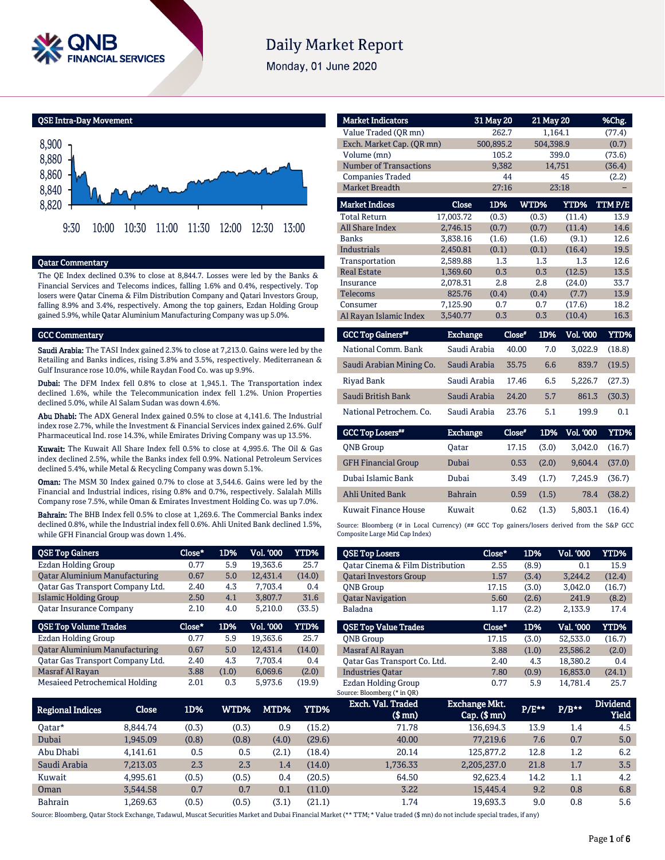

# **Daily Market Report**

Monday, 01 June 2020

QSE Intra-Day Movement



#### Qatar Commentary

The QE Index declined 0.3% to close at 8,844.7. Losses were led by the Banks & Financial Services and Telecoms indices, falling 1.6% and 0.4%, respectively. Top losers were Qatar Cinema & Film Distribution Company and Qatari Investors Group, falling 8.9% and 3.4%, respectively. Among the top gainers, Ezdan Holding Group gained 5.9%, while Qatar Aluminium Manufacturing Company was up 5.0%.

#### GCC Commentary

Saudi Arabia: The TASI Index gained 2.3% to close at 7,213.0. Gains were led by the Retailing and Banks indices, rising 3.8% and 3.5%, respectively. Mediterranean & Gulf Insurance rose 10.0%, while Raydan Food Co. was up 9.9%.

Dubai: The DFM Index fell 0.8% to close at 1,945.1. The Transportation index declined 1.6%, while the Telecommunication index fell 1.2%. Union Properties declined 5.0%, while Al Salam Sudan was down 4.6%.

Abu Dhabi: The ADX General Index gained 0.5% to close at 4,141.6. The Industrial index rose 2.7%, while the Investment & Financial Services index gained 2.6%. Gulf Pharmaceutical Ind. rose 14.3%, while Emirates Driving Company was up 13.5%.

Kuwait: The Kuwait All Share Index fell 0.5% to close at 4,995.6. The Oil & Gas index declined 2.5%, while the Banks index fell 0.9%. National Petroleum Services declined 5.4%, while Metal & Recycling Company was down 5.1%.

Oman: The MSM 30 Index gained 0.7% to close at 3,544.6. Gains were led by the Financial and Industrial indices, rising 0.8% and 0.7%, respectively. Salalah Mills Company rose 7.5%, while Oman & Emirates Investment Holding Co. was up 7.0%.

Bahrain: The BHB Index fell 0.5% to close at 1,269.6. The Commercial Banks index declined 0.8%, while the Industrial index fell 0.6%. Ahli United Bank declined 1.5%, while GFH Financial Group was down 1.4%.

| <b>QSE Top Gainers</b>               | Close* | 1D%   | <b>Vol. '000</b> | YTD%   |
|--------------------------------------|--------|-------|------------------|--------|
| <b>Ezdan Holding Group</b>           | 0.77   | 5.9   | 19,363.6         | 25.7   |
| <b>Qatar Aluminium Manufacturing</b> | 0.67   | 5.0   | 12,431.4         | (14.0) |
| Qatar Gas Transport Company Ltd.     | 2.40   | 4.3   | 7,703.4          | 0.4    |
| <b>Islamic Holding Group</b>         | 2.50   | 4.1   | 3,807.7          | 31.6   |
| <b>Qatar Insurance Company</b>       | 2.10   | 4.0   | 5,210.0          | (33.5) |
|                                      |        |       |                  |        |
| <b>QSE Top Volume Trades</b>         | Close* | 1D%   | <b>Vol. '000</b> | YTD%   |
| Ezdan Holding Group                  | 0.77   | 5.9   | 19.363.6         | 25.7   |
| <b>Qatar Aluminium Manufacturing</b> | 0.67   | 5.0   | 12,431.4         | (14.0) |
| Oatar Gas Transport Company Ltd.     | 2.40   | 4.3   | 7.703.4          | 0.4    |
| Masraf Al Rayan                      | 3.88   | (1.0) | 6.069.6          | (2.0)  |

| <b>Market Indicators</b>             |                 | 31 May 20 | 21 May 20     |                  | %Chg.       |
|--------------------------------------|-----------------|-----------|---------------|------------------|-------------|
| Value Traded (QR mn)                 |                 | 262.7     |               | 1,164.1          | (77.4)      |
| Exch. Market Cap. (QR mn)            |                 | 500,895.2 | 504,398.9     |                  | (0.7)       |
| Volume (mn)                          |                 | 105.2     |               | 399.0            | (73.6)      |
| <b>Number of Transactions</b>        |                 | 9,382     |               | 14,751           | (36.4)      |
| <b>Companies Traded</b>              |                 | 44        |               | 45               | (2.2)       |
| <b>Market Breadth</b>                |                 | 27:16     |               | 23:18            |             |
| <b>Market Indices</b>                | Close           | 1D%       | <b>WTD%</b>   | YTD%             | TTMP/E      |
| <b>Total Return</b>                  | 17,003.72       | (0.3)     | (0.3)         | (11.4)           | 13.9        |
| <b>All Share Index</b>               | 2,746.15        | (0.7)     | (0.7)         | (11.4)           | 14.6        |
| <b>Banks</b>                         | 3,838.16        | (1.6)     | (1.6)         | (9.1)            | 12.6        |
| <b>Industrials</b>                   | 2,450.81        | (0.1)     | (0.1)         | (16.4)           | 19.5        |
| Transportation                       | 2,589.88        | 1.3       | 1.3           | 1.3              | 12.6        |
| <b>Real Estate</b>                   | 1.369.60        | 0.3       | 0.3           | (12.5)           | 13.5        |
| Insurance                            | 2,078.31        | 2.8       | 2.8           | (24.0)           | 33.7        |
| Telecoms                             | 825.76          | (0.4)     | (0.4)         | (7.7)            | 13.9        |
| Consumer                             | 7,125.90        | 0.7       | 0.7           | (17.6)           | 18.2        |
| Al Rayan Islamic Index               | 3,540.77        | 0.3       | 0.3           | (10.4)           | 16.3        |
| <b>GCC Top Gainers</b> <sup>##</sup> | <b>Exchange</b> |           | 1D%<br>Close" | <b>Vol. '000</b> | <b>YTD%</b> |

| <b>OOO TOP QUARTER</b>   | <b>ARAMARASHIP</b> | ----  | --- | .       | .      |
|--------------------------|--------------------|-------|-----|---------|--------|
| National Comm. Bank      | Saudi Arabia       | 40.00 | 7.0 | 3.022.9 | (18.8) |
| Saudi Arabian Mining Co. | Saudi Arabia       | 35.75 | 6.6 | 839.7   | (19.5) |
| Rivad Bank               | Saudi Arabia       | 17.46 | 6.5 | 5.226.7 | (27.3) |
| Saudi British Bank       | Saudi Arabia       | 24.20 | 5.7 | 861.3   | (30.3) |
| National Petrochem. Co.  | Saudi Arabia       | 23.76 | 5.1 | 199.9   | 0.1    |

| <b>GCC Top Losers**</b>    | <b>Exchange</b> | Close* | 1D%   | Vol. '000 ' | YTD%   |
|----------------------------|-----------------|--------|-------|-------------|--------|
| <b>ONB</b> Group           | Oatar           | 17.15  | (3.0) | 3.042.0     | (16.7) |
| <b>GFH Financial Group</b> | Dubai           | 0.53   | (2.0) | 9.604.4     | (37.0) |
| Dubai Islamic Bank         | Dubai           | 3.49   | (1.7) | 7.245.9     | (36.7) |
| <b>Ahli United Bank</b>    | <b>Bahrain</b>  | 0.59   | (1.5) | 78.4        | (38.2) |
| Kuwait Finance House       | Kuwait          | 0.62   | (1.3) | 5.803.1     | (16.4) |

Source: Bloomberg (# in Local Currency) (## GCC Top gainers/losers derived from the S&P GCC Composite Large Mid Cap Index)

| <b>QSE Top Losers</b>            | Close* | 1D%   | <b>Vol. '000</b> | YTD%   |
|----------------------------------|--------|-------|------------------|--------|
| Oatar Cinema & Film Distribution | 2.55   | (8.9) | 0.1              | 15.9   |
| <b>Oatari Investors Group</b>    | 1.57   | (3.4) | 3.244.2          | (12.4) |
| <b>ONB</b> Group                 | 17.15  | (3.0) | 3,042.0          | (16.7) |
| <b>Qatar Navigation</b>          | 5.60   | (2.6) | 241.9            | (8.2)  |
| Baladna                          | 1.17   | (2.2) | 2.133.9          | 17.4   |
|                                  |        |       |                  |        |
| <b>OSE Top Value Trades</b>      | Close* | 1D%   | Val. '000        | YTD%   |
|                                  |        |       |                  |        |
| <b>ONB</b> Group                 | 17.15  | (3.0) | 52.533.0         | (16.7) |
| Masraf Al Rayan                  | 3.88   | (1.0) | 23.586.2         | (2.0)  |
| Oatar Gas Transport Co. Ltd.     | 2.40   | 4.3   | 18.380.2         | 0.4    |
| <b>Industries Oatar</b>          | 7.80   | (0.9) | 16.853.0         | (24.1) |

| Regional Indices | Close    | 1D%   | WTD% <b>M</b> | MTD%    | YTD%   | Exch. Val. Traded<br>$$$ mn $)$ | Exchange Mkt.<br>$Cap.$ ( $$mn)$ | $P/E***$ | $P/B**$ | <b>Dividend</b><br>Yield |
|------------------|----------|-------|---------------|---------|--------|---------------------------------|----------------------------------|----------|---------|--------------------------|
| 0atar*           | 8.844.74 | (0.3) | (0.3)         | 0.9     | (15.2) | 71.78                           | 136,694.3                        | 13.9     | 1.4     | 4.5                      |
| Dubai            | 1.945.09 | (0.8) | (0.8)         | (4.0)   | (29.6) | 40.00                           | 77.219.6                         | 7.6      | 0.7     | 5.0                      |
| Abu Dhabi        | 4.141.61 | 0.5   | 0.5           | (2.1)   | (18.4) | 20.14                           | 125,877.2                        | 12.8     | $1.2\,$ | 6.2                      |
| Saudi Arabia     | 7,213.03 | 2.3   | 2.3           | 1.4     | (14.0) | 1,736.33                        | 2,205,237.0                      | 21.8     | 1.7     | 3.5                      |
| Kuwait           | 4.995.61 | (0.5) | (0.5)         | 0.4     | (20.5) | 64.50                           | 92.623.4                         | 14.2     | 1.1     | 4.2                      |
| Oman             | 3.544.58 | 0.7   | 0.7           | $0.1\,$ | (11.0) | 3.22                            | 15,445.4                         | 9.2      | 0.8     | 6.8                      |
| <b>Bahrain</b>   | 1.269.63 | (0.5) | (0.5)         | (3.1)   | (21.1) | 1.74                            | 19.693.3                         | 9.0      | 0.8     | 5.6                      |

Source: Bloomberg, Qatar Stock Exchange, Tadawul, Muscat Securities Market and Dubai Financial Market (\*\* TTM; \* Value traded (\$ mn) do not include special trades, if any)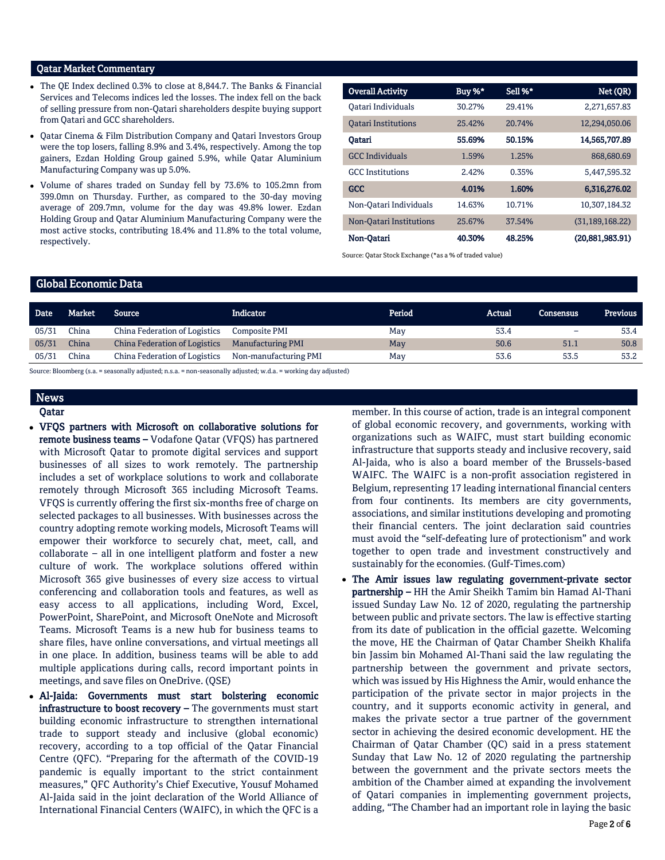### Qatar Market Commentary

- The QE Index declined 0.3% to close at 8,844.7. The Banks & Financial Services and Telecoms indices led the losses. The index fell on the back of selling pressure from non-Qatari shareholders despite buying support from Qatari and GCC shareholders.
- Qatar Cinema & Film Distribution Company and Qatari Investors Group were the top losers, falling 8.9% and 3.4%, respectively. Among the top gainers, Ezdan Holding Group gained 5.9%, while Qatar Aluminium Manufacturing Company was up 5.0%.
- Volume of shares traded on Sunday fell by 73.6% to 105.2mn from 399.0mn on Thursday. Further, as compared to the 30-day moving average of 209.7mn, volume for the day was 49.8% lower. Ezdan Holding Group and Qatar Aluminium Manufacturing Company were the most active stocks, contributing 18.4% and 11.8% to the total volume, respectively.

| <b>Overall Activity</b>    | Buy %* | Sell %* | Net (QR)          |
|----------------------------|--------|---------|-------------------|
| Oatari Individuals         | 30.27% | 29.41%  | 2,271,657.83      |
| <b>Oatari Institutions</b> | 25.42% | 20.74%  | 12,294,050.06     |
| Oatari                     | 55.69% | 50.15%  | 14.565,707.89     |
| <b>GCC Individuals</b>     | 1.59%  | 1.25%   | 868,680,69        |
| <b>GCC</b> Institutions    | 2.42%  | 0.35%   | 5,447,595.32      |
| <b>GCC</b>                 | 4.01%  | 1.60%   | 6,316,276.02      |
| Non-Oatari Individuals     | 14.63% | 10.71%  | 10.307.184.32     |
| Non-Oatari Institutions    | 25.67% | 37.54%  | (31, 189, 168.22) |
| Non-Oatari                 | 40.30% | 48.25%  | (20,881,983.91)   |

Source: Qatar Stock Exchange (\*as a % of traded value)

#### Global Economic Data

| <b>Date</b> | Market | ' Source                             | <b>Indicator</b>         | Period | Actual | Consensus | Previous |
|-------------|--------|--------------------------------------|--------------------------|--------|--------|-----------|----------|
| 05/31       | China  | China Federation of Logistics        | Composite PMI            | May    | 53.4   | -         | 53.4     |
| 05/31       | China  | <b>China Federation of Logistics</b> | <b>Manufacturing PMI</b> | May    | 50.6   | 51.1      | 50.8     |
| 05/31       | China  | China Federation of Logistics        | Non-manufacturing PMI    | May    | 53.6   | 53.5      | 53.2     |
|             |        |                                      |                          |        |        |           |          |

Source: Bloomberg (s.a. = seasonally adjusted; n.s.a. = non-seasonally adjusted; w.d.a. = working day adjusted)

# News

## Qatar

- VFQS partners with Microsoft on collaborative solutions for remote business teams – Vodafone Qatar (VFQS) has partnered with Microsoft Qatar to promote digital services and support businesses of all sizes to work remotely. The partnership includes a set of workplace solutions to work and collaborate remotely through Microsoft 365 including Microsoft Teams. VFQS is currently offering the first six-months free of charge on selected packages to all businesses. With businesses across the country adopting remote working models, Microsoft Teams will empower their workforce to securely chat, meet, call, and collaborate – all in one intelligent platform and foster a new culture of work. The workplace solutions offered within Microsoft 365 give businesses of every size access to virtual conferencing and collaboration tools and features, as well as easy access to all applications, including Word, Excel, PowerPoint, SharePoint, and Microsoft OneNote and Microsoft Teams. Microsoft Teams is a new hub for business teams to share files, have online conversations, and virtual meetings all in one place. In addition, business teams will be able to add multiple applications during calls, record important points in meetings, and save files on OneDrive. (QSE)
- Al-Jaida: Governments must start bolstering economic infrastructure to boost recovery - The governments must start building economic infrastructure to strengthen international trade to support steady and inclusive (global economic) recovery, according to a top official of the Qatar Financial Centre (QFC). "Preparing for the aftermath of the COVID-19 pandemic is equally important to the strict containment measures," QFC Authority's Chief Executive, Yousuf Mohamed Al-Jaida said in the joint declaration of the World Alliance of International Financial Centers (WAIFC), in which the QFC is a

member. In this course of action, trade is an integral component of global economic recovery, and governments, working with organizations such as WAIFC, must start building economic infrastructure that supports steady and inclusive recovery, said Al-Jaida, who is also a board member of the Brussels-based WAIFC. The WAIFC is a non-profit association registered in Belgium, representing 17 leading international financial centers from four continents. Its members are city governments, associations, and similar institutions developing and promoting their financial centers. The joint declaration said countries must avoid the "self-defeating lure of protectionism" and work together to open trade and investment constructively and sustainably for the economies. (Gulf-Times.com)

 The Amir issues law regulating government-private sector partnership – HH the Amir Sheikh Tamim bin Hamad Al-Thani issued Sunday Law No. 12 of 2020, regulating the partnership between public and private sectors. The law is effective starting from its date of publication in the official gazette. Welcoming the move, HE the Chairman of Qatar Chamber Sheikh Khalifa bin Jassim bin Mohamed Al-Thani said the law regulating the partnership between the government and private sectors, which was issued by His Highness the Amir, would enhance the participation of the private sector in major projects in the country, and it supports economic activity in general, and makes the private sector a true partner of the government sector in achieving the desired economic development. HE the Chairman of Qatar Chamber (QC) said in a press statement Sunday that Law No. 12 of 2020 regulating the partnership between the government and the private sectors meets the ambition of the Chamber aimed at expanding the involvement of Qatari companies in implementing government projects, adding, "The Chamber had an important role in laying the basic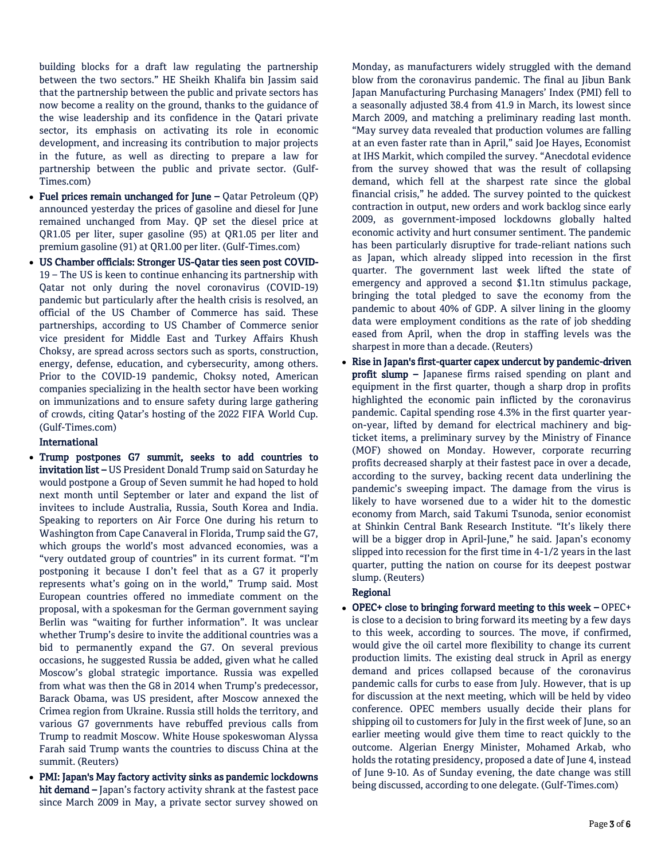building blocks for a draft law regulating the partnership between the two sectors." HE Sheikh Khalifa bin Jassim said that the partnership between the public and private sectors has now become a reality on the ground, thanks to the guidance of the wise leadership and its confidence in the Qatari private sector, its emphasis on activating its role in economic development, and increasing its contribution to major projects in the future, as well as directing to prepare a law for partnership between the public and private sector. (Gulf-Times.com)

- Fuel prices remain unchanged for June Qatar Petroleum (QP) announced yesterday the prices of gasoline and diesel for June remained unchanged from May. QP set the diesel price at QR1.05 per liter, super gasoline (95) at QR1.05 per liter and premium gasoline (91) at QR1.00 per liter. (Gulf-Times.com)
- US Chamber officials: Stronger US-Qatar ties seen post COVID-19 – The US is keen to continue enhancing its partnership with Qatar not only during the novel coronavirus (COVID-19) pandemic but particularly after the health crisis is resolved, an official of the US Chamber of Commerce has said. These partnerships, according to US Chamber of Commerce senior vice president for Middle East and Turkey Affairs Khush Choksy, are spread across sectors such as sports, construction, energy, defense, education, and cybersecurity, among others. Prior to the COVID-19 pandemic, Choksy noted, American companies specializing in the health sector have been working on immunizations and to ensure safety during large gathering of crowds, citing Qatar's hosting of the 2022 FIFA World Cup. (Gulf-Times.com)

## International

- Trump postpones G7 summit, seeks to add countries to invitation list – US President Donald Trump said on Saturday he would postpone a Group of Seven summit he had hoped to hold next month until September or later and expand the list of invitees to include Australia, Russia, South Korea and India. Speaking to reporters on Air Force One during his return to Washington from Cape Canaveral in Florida, Trump said the G7, which groups the world's most advanced economies, was a "very outdated group of countries" in its current format. "I'm postponing it because I don't feel that as a G7 it properly represents what's going on in the world," Trump said. Most European countries offered no immediate comment on the proposal, with a spokesman for the German government saying Berlin was "waiting for further information". It was unclear whether Trump's desire to invite the additional countries was a bid to permanently expand the G7. On several previous occasions, he suggested Russia be added, given what he called Moscow's global strategic importance. Russia was expelled from what was then the G8 in 2014 when Trump's predecessor, Barack Obama, was US president, after Moscow annexed the Crimea region from Ukraine. Russia still holds the territory, and various G7 governments have rebuffed previous calls from Trump to readmit Moscow. White House spokeswoman Alyssa Farah said Trump wants the countries to discuss China at the summit. (Reuters)
- PMI: Japan's May factory activity sinks as pandemic lockdowns hit demand – Japan's factory activity shrank at the fastest pace since March 2009 in May, a private sector survey showed on

Monday, as manufacturers widely struggled with the demand blow from the coronavirus pandemic. The final au Jibun Bank Japan Manufacturing Purchasing Managers' Index (PMI) fell to a seasonally adjusted 38.4 from 41.9 in March, its lowest since March 2009, and matching a preliminary reading last month. "May survey data revealed that production volumes are falling at an even faster rate than in April," said Joe Hayes, Economist at IHS Markit, which compiled the survey. "Anecdotal evidence from the survey showed that was the result of collapsing demand, which fell at the sharpest rate since the global financial crisis," he added. The survey pointed to the quickest contraction in output, new orders and work backlog since early 2009, as government-imposed lockdowns globally halted economic activity and hurt consumer sentiment. The pandemic has been particularly disruptive for trade-reliant nations such as Japan, which already slipped into recession in the first quarter. The government last week lifted the state of emergency and approved a second \$1.1tn stimulus package, bringing the total pledged to save the economy from the pandemic to about 40% of GDP. A silver lining in the gloomy data were employment conditions as the rate of job shedding eased from April, when the drop in staffing levels was the sharpest in more than a decade. (Reuters)

 Rise in Japan's first-quarter capex undercut by pandemic-driven profit slump - Japanese firms raised spending on plant and equipment in the first quarter, though a sharp drop in profits highlighted the economic pain inflicted by the coronavirus pandemic. Capital spending rose 4.3% in the first quarter yearon-year, lifted by demand for electrical machinery and bigticket items, a preliminary survey by the Ministry of Finance (MOF) showed on Monday. However, corporate recurring profits decreased sharply at their fastest pace in over a decade, according to the survey, backing recent data underlining the pandemic's sweeping impact. The damage from the virus is likely to have worsened due to a wider hit to the domestic economy from March, said Takumi Tsunoda, senior economist at Shinkin Central Bank Research Institute. "It's likely there will be a bigger drop in April-June," he said. Japan's economy slipped into recession for the first time in 4-1/2 years in the last quarter, putting the nation on course for its deepest postwar slump. (Reuters)

# Regional

 OPEC+ close to bringing forward meeting to this week – OPEC+ is close to a decision to bring forward its meeting by a few days to this week, according to sources. The move, if confirmed, would give the oil cartel more flexibility to change its current production limits. The existing deal struck in April as energy demand and prices collapsed because of the coronavirus pandemic calls for curbs to ease from July. However, that is up for discussion at the next meeting, which will be held by video conference. OPEC members usually decide their plans for shipping oil to customers for July in the first week of June, so an earlier meeting would give them time to react quickly to the outcome. Algerian Energy Minister, Mohamed Arkab, who holds the rotating presidency, proposed a date of June 4, instead of June 9-10. As of Sunday evening, the date change was still being discussed, according to one delegate. (Gulf-Times.com)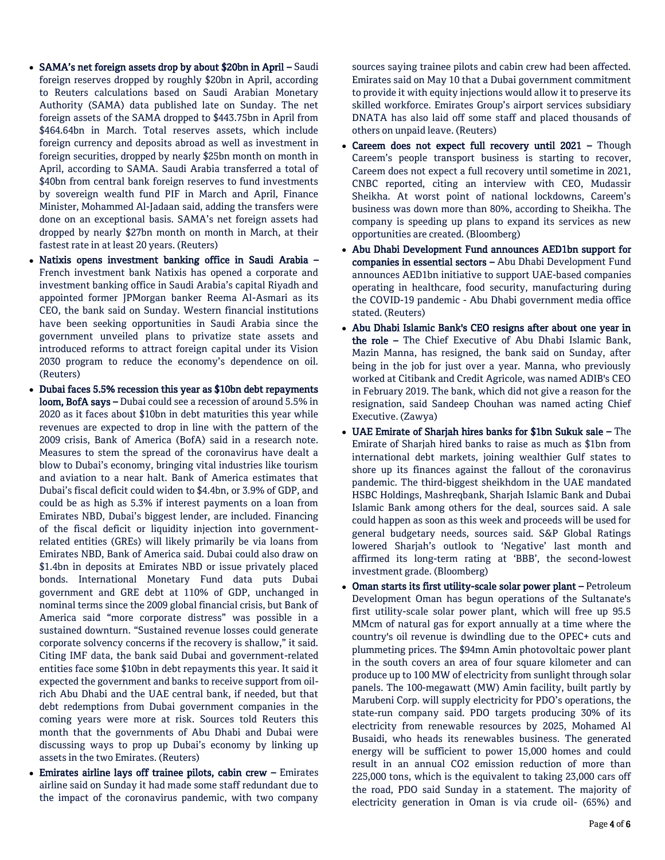- SAMA's net foreign assets drop by about \$20bn in April Saudi foreign reserves dropped by roughly \$20bn in April, according to Reuters calculations based on Saudi Arabian Monetary Authority (SAMA) data published late on Sunday. The net foreign assets of the SAMA dropped to \$443.75bn in April from \$464.64bn in March. Total reserves assets, which include foreign currency and deposits abroad as well as investment in foreign securities, dropped by nearly \$25bn month on month in April, according to SAMA. Saudi Arabia transferred a total of \$40bn from central bank foreign reserves to fund investments by sovereign wealth fund PIF in March and April, Finance Minister, Mohammed Al-Jadaan said, adding the transfers were done on an exceptional basis. SAMA's net foreign assets had dropped by nearly \$27bn month on month in March, at their fastest rate in at least 20 years. (Reuters)
- Natixis opens investment banking office in Saudi Arabia French investment bank Natixis has opened a corporate and investment banking office in Saudi Arabia's capital Riyadh and appointed former JPMorgan banker Reema Al-Asmari as its CEO, the bank said on Sunday. Western financial institutions have been seeking opportunities in Saudi Arabia since the government unveiled plans to privatize state assets and introduced reforms to attract foreign capital under its Vision 2030 program to reduce the economy's dependence on oil. (Reuters)
- Dubai faces 5.5% recession this year as \$10bn debt repayments loom, BofA says – Dubai could see a recession of around 5.5% in 2020 as it faces about \$10bn in debt maturities this year while revenues are expected to drop in line with the pattern of the 2009 crisis, Bank of America (BofA) said in a research note. Measures to stem the spread of the coronavirus have dealt a blow to Dubai's economy, bringing vital industries like tourism and aviation to a near halt. Bank of America estimates that Dubai's fiscal deficit could widen to \$4.4bn, or 3.9% of GDP, and could be as high as 5.3% if interest payments on a loan from Emirates NBD, Dubai's biggest lender, are included. Financing of the fiscal deficit or liquidity injection into governmentrelated entities (GREs) will likely primarily be via loans from Emirates NBD, Bank of America said. Dubai could also draw on \$1.4bn in deposits at Emirates NBD or issue privately placed bonds. International Monetary Fund data puts Dubai government and GRE debt at 110% of GDP, unchanged in nominal terms since the 2009 global financial crisis, but Bank of America said "more corporate distress" was possible in a sustained downturn. "Sustained revenue losses could generate corporate solvency concerns if the recovery is shallow," it said. Citing IMF data, the bank said Dubai and government-related entities face some \$10bn in debt repayments this year. It said it expected the government and banks to receive support from oilrich Abu Dhabi and the UAE central bank, if needed, but that debt redemptions from Dubai government companies in the coming years were more at risk. Sources told Reuters this month that the governments of Abu Dhabi and Dubai were discussing ways to prop up Dubai's economy by linking up assets in the two Emirates. (Reuters)
- Emirates airline lays off trainee pilots, cabin crew Emirates airline said on Sunday it had made some staff redundant due to the impact of the coronavirus pandemic, with two company

sources saying trainee pilots and cabin crew had been affected. Emirates said on May 10 that a Dubai government commitment to provide it with equity injections would allow it to preserve its skilled workforce. Emirates Group's airport services subsidiary DNATA has also laid off some staff and placed thousands of others on unpaid leave. (Reuters)

- Careem does not expect full recovery until 2021 Though Careem's people transport business is starting to recover, Careem does not expect a full recovery until sometime in 2021, CNBC reported, citing an interview with CEO, Mudassir Sheikha. At worst point of national lockdowns, Careem's business was down more than 80%, according to Sheikha. The company is speeding up plans to expand its services as new opportunities are created. (Bloomberg)
- Abu Dhabi Development Fund announces AED1bn support for companies in essential sectors – Abu Dhabi Development Fund announces AED1bn initiative to support UAE-based companies operating in healthcare, food security, manufacturing during the COVID-19 pandemic - Abu Dhabi government media office stated. (Reuters)
- Abu Dhabi Islamic Bank's CEO resigns after about one year in the role – The Chief Executive of Abu Dhabi Islamic Bank, Mazin Manna, has resigned, the bank said on Sunday, after being in the job for just over a year. Manna, who previously worked at Citibank and Credit Agricole, was named ADIB's CEO in February 2019. The bank, which did not give a reason for the resignation, said Sandeep Chouhan was named acting Chief Executive. (Zawya)
- UAE Emirate of Sharjah hires banks for \$1bn Sukuk sale The Emirate of Sharjah hired banks to raise as much as \$1bn from international debt markets, joining wealthier Gulf states to shore up its finances against the fallout of the coronavirus pandemic. The third-biggest sheikhdom in the UAE mandated HSBC Holdings, Mashreqbank, Sharjah Islamic Bank and Dubai Islamic Bank among others for the deal, sources said. A sale could happen as soon as this week and proceeds will be used for general budgetary needs, sources said. S&P Global Ratings lowered Sharjah's outlook to 'Negative' last month and affirmed its long-term rating at 'BBB', the second-lowest investment grade. (Bloomberg)
- Oman starts its first utility-scale solar power plant Petroleum Development Oman has begun operations of the Sultanate's first utility-scale solar power plant, which will free up 95.5 MMcm of natural gas for export annually at a time where the country's oil revenue is dwindling due to the OPEC+ cuts and plummeting prices. The \$94mn Amin photovoltaic power plant in the south covers an area of four square kilometer and can produce up to 100 MW of electricity from sunlight through solar panels. The 100-megawatt (MW) Amin facility, built partly by Marubeni Corp. will supply electricity for PDO's operations, the state-run company said. PDO targets producing 30% of its electricity from renewable resources by 2025, Mohamed Al Busaidi, who heads its renewables business. The generated energy will be sufficient to power 15,000 homes and could result in an annual CO2 emission reduction of more than 225,000 tons, which is the equivalent to taking 23,000 cars off the road, PDO said Sunday in a statement. The majority of electricity generation in Oman is via crude oil- (65%) and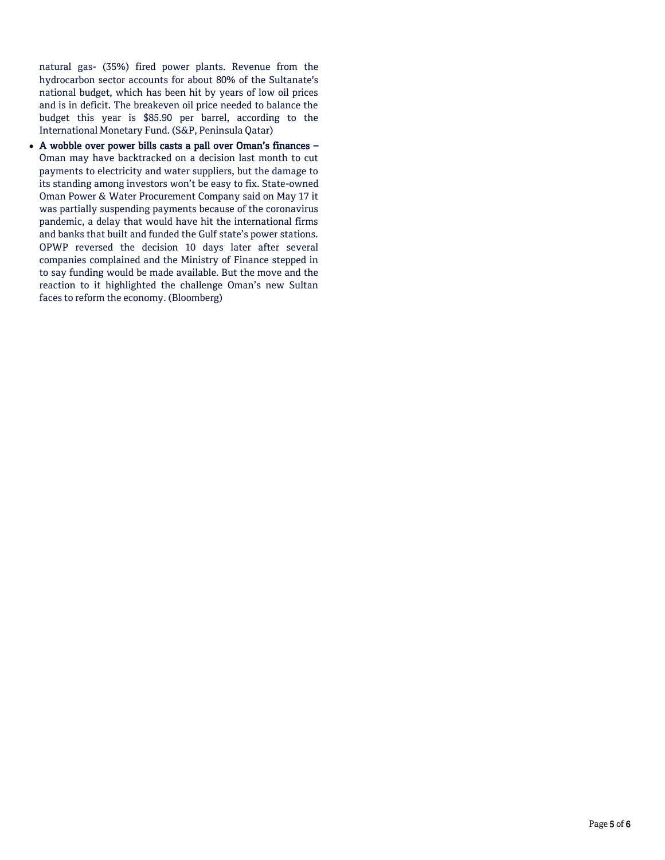natural gas- (35%) fired power plants. Revenue from the hydrocarbon sector accounts for about 80% of the Sultanate's national budget, which has been hit by years of low oil prices and is in deficit. The breakeven oil price needed to balance the budget this year is \$85.90 per barrel, according to the International Monetary Fund. (S&P, Peninsula Qatar)

 A wobble over power bills casts a pall over Oman's finances – Oman may have backtracked on a decision last month to cut payments to electricity and water suppliers, but the damage to its standing among investors won't be easy to fix. State-owned Oman Power & Water Procurement Company said on May 17 it was partially suspending payments because of the coronavirus pandemic, a delay that would have hit the international firms and banks that built and funded the Gulf state's power stations. OPWP reversed the decision 10 days later after several companies complained and the Ministry of Finance stepped in to say funding would be made available. But the move and the reaction to it highlighted the challenge Oman's new Sultan faces to reform the economy. (Bloomberg)